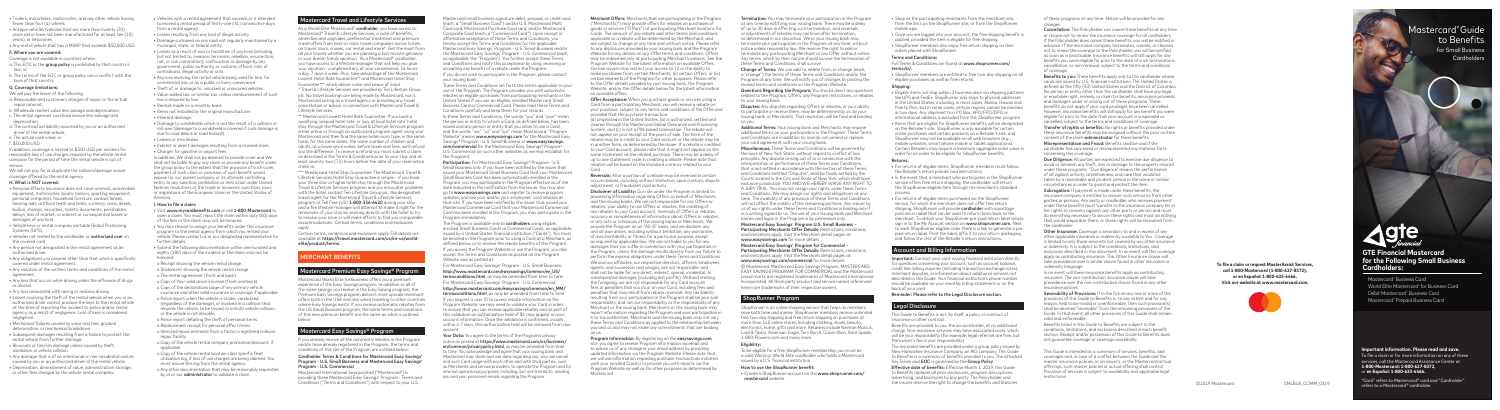Mastercard small business signature debit, prepaid, or credit card (each, a "Small Business Card") and/or U.S. Mastercard Multi Card card, Mastercard Purchase Card card, and/or Mastercard Corporate Card (each, a "Commercial Card"). Upon receipt or affirmative acceptance of these Terms and Conditions, you hereby accept the Terms and Conditions for the applicable Mastercard Easy Savings® Program - U.S. Small Business and/or the Mastercard Easy Savings® Program - U.S. Commercial (each, as applicable, the "Program"). You further accept these Terms and Conditions and ratify this acceptance by using, receiving or accepting any benefit of a rebate under the Program. If you do not wish to participate in the Program, please contact your issuing bank.

These Terms and Conditions set forth the terms applicable to your use of the Program. The Program provides you with automatic rebates on eligible purchases from participating merchants in the United States if you use an eligible, enrolled Mastercard Small Business Card or Commercial Card. Please read these Terms and Conditions carefully and keep them for your records.

The Program is available only to cardholders using eligible, enrolled Small Business Cards or Commercial Cards, as applicable, issued by a United States financial institution ("Cards"). You must be enrolled in the Program prior to using a Card at a Merchant, as defined below, or to receive the rebate benefits of the Program. If you access the Program Website or use the Program, you also

In these Terms and Conditions, the words "you" and "your" mean the person or entity to whom a Card, as defined below, has been issued and any person or entity that you allow to use a Card, and the words "we," "us" and "our" mean Mastercard. "Program Website" means www.easysavings.com for the Mastercard Easy Savinas® Program - U.S. Small Business or **www.easysavinas.** com/commercial for the Mastercard Easy Savings® Program - U.S. Commercial (or such other websites as we may establish for the Program).

Participation: For Mastercard Easy Savings® Program - U.S. Small Business only: If you have been notified by the issuer that issued your Mastercard Small Business Card that your Mastercard Small Business Card has been automatically enrolled in the Program, you may participate in the Program effective as of the date indicated in the notification from the issuer. You may also go to **www.easysavings.com** and register to receive program updates, and see your and/or your employees' card rebates at that site. If you have been notified by the issuer that issued your Mastercard Commercial Card that your Mastercard Commercial Card has been enrolled in the Program, you may participate in the Program immediately.

Your Data: You agree to the terms of the Program's privacy notice as posted at https://www.mastercard.com/us/business/ en/common/privacypolicy.html, as may be amended from time to time. You acknowledge and agree that your issuing bank and Mastercard may share and use data regarding you, your personnel and such Card usage with each other and with third parties, such as Merchants and service providers, to operate the Program and for internal operational purposes, including, but not limited to, sending you and your personnel emails regarding the Program.

As a World Elite Mastercard® cardholder, you have access to Mastercard® Travel & Lifestyle Services, a suite of benefits, amenities and upgrades, preferential treatment and premium travel offers from best-in-class travel companies across hotels, air travel, tours, cruises, car rental and more\*. Get the most from all your travels whether you are planning a last-minute getaway or your dream family vacation. As a Mastercard® cardholder, you have access to a lifestyle manager that will help you plan your vacation - complimentary, at your convenience, 24 hours a day, 7 days a week. Plus, take advantage of the Mastercard Lowest Hotel Rate Guarantee\*\* and Mastercard Hotel Stay Guarantee\*\*\* which deliver value and peace of mind.

> accept the Terms and Conditions as posted on the Program Website and as posted at:

For Mastercard Easy Savings® Program - U.S. Small Business: http://www.mastercard.com/easysavings/common/en\_US/ termsconditions.html, as may be amended from time to time. For Mastercard Easy Savings® Program - U.S. Commercial:

http://www.mastercard.com/easysavings/common/en\_MM/ termsconditions.html, as may be amended from time to time. If you request a user ID to access rebate information on the Program Website, we may need to validate your Card in order to ensure that you can receive applicable rebates and as part of this validation an authorization hold of \$1 may appear on your account information. Once the validation is confirmed, usually within 2-7 days, this authorization hold will be removed from your account.

\* Travel & Lifestyle Services are provided by Ten Lifestyle Group plc. No travel bookings are being made by Mastercard, nor is Mastercard acting as a travel agency or providing any travel consultation or advice, in connection with Mastercard Travel & Lifestyle Services.

- o The rental agreement (front and back).
- o Copy of Your valid driver's license (front and back). o Copy of the declarations page of any primary vehicle insurance and other valid insurance or coverage if applicable.
- o Police report when the vehicle is stolen, vandalized (regardless of the damage), or involved in a collision that
- requires the vehicle; to be towed, in a multi-vehicle collision, or the vehicle is not drivable.
- o Police report detailing the theft of personal items.
- o Replacement receipt for personal effect items. o Itemized repair estimate from a factory registered collision repair facility.
- o Copy of the vehicle rental company promotion/discount, if applicable.
- o Copy of the vehicle rental location class specific fleet utilization log, if loss of use charges are being claimed. You must secure this log from the rental agency.
- o Any other documentation that may be reasonably requested by us or our *administrator* to validate a claim.

# lastercard Travel and Lifestyle Services

\*\* Mastercard Lowest Hotel Rate Guarantee: If you book a qualifying 'prepaid hotel rate' or 'pay at local hotel rate' hotel stay through the Mastercard Travel & Lifestyle Services program either online or through an authorized program agent using your Mastercard and then find the same hotel room type, in the same hotel, for the same dates, the same number of children and adults, at a lower price online, before taxes and fees, we'll refund you the difference. To receive a refund you must submit a claim as described in the Terms & Conditions prior to your stay and at least seventy-two (72) hours before the date of your reservation check-in.

\*\*\* Mastercard Hotel Stay Guarantee: The Mastercard Travel & Lifestyle Services Hotel Stay Guarantee is simple – if you book your three star or higher hotel stay through the Mastercard Travel & Lifestyle Services program and you encounter problems with the hotel, contact Ten Lifestyle Group plc, the designated travel agent for the Mastercard Travel & Lifestyle Services program at Toll Free (US) 1-800-336-6420 during your stay and a Ten lifestyle manager will attempt to make it right for the remainder of your stay by working directly with the hotel to try to resolve your issue or will make efforts to find you comparable accommodations. Certain terms, conditions and exclusions apply.

Certain terms, conditions and exclusions apply. Full details are available at https://travel.mastercard.com/us/en-us/worldelite/product/terms.

# MERCHANT BENEFITS

# Mastercard Premium Easy Savings® Program

Mastercard World Elite for Business offers you a premium experience of the Easy Savings program. In addition to all of the same savings you receive in the Easy Saving program, the Premium Easy Savings program delivers more upscale merchant offers both in the USA and also when traveling to other countries where Easy Savings exists. If you receive automatic rebates from the US Small Business program, the same terms and conditions of this new premium benefit are the same as what is outlined below:

# Mastercard Easy Savings® Program

If you already receive all the automatic rebates in the Program and/or have already registered in the Program, the terms and conditions of this tier of the Program are outlined below:

Termination: You may terminate your participation in the Program at any time by notifying your issuing bank. There may be a delay of up to 30 days in effecting such termination, and reversals or adjustments of rebates may continue after termination, as determined in our discretion. We or your issuing bank may terminate your participation in the Program at any time, without notice unless required by law. We reserve the right to add or terminate any participating Merchant or any Offer without notice. Any terms, which by their nature should survive the termination of these Terms and Conditions, shall survive.

#### Cardholder Terms & Conditions for Mastercard Easy Savings® Program - U.S. Small Business and Mastercard Easy Savings® Program - U.S. Commercial

**Disputes:** Any disputes regarding Offers or rebates, or your ability to participate or receive them, may be determined by us, by your issuing bank, or Merchants. That resolution will be final and binding on you.

Mastercard International Incorporated ("Mastercard") is providing these Mastercard Easy Savings® Program - Terms and Conditions ("Terms and Conditions") with respect to your U.S.

Additional Terms: Your issuing bank and Merchants may impose additional terms on your participation in the Program. These Terms and Conditions are in addition to, and do not amend or replace, your card agreement with your issuing bank.

Miscellaneous: These Terms and Conditions will be governed by the laws of New York State, without regard to conflict of law principles. Any dispute arising out of or in connection with the interpretation or performance of these Terms and Conditions, that is not settled in accordance with the section of these Terms and Conditions entitled "Disputes", shall be finally settled by the Courts located in the City and State of New York, which shall have exclusive jurisdiction. YOU AND WE HEREBY WAIVE ANY RIGHT TO A JURY TRIAL. You may not assign your rights under these Terms and Conditions. We may assign our rights and obligations at any time. The invalidity of any provision of these Terms and Conditions will not affect the validity of the remaining portions. Any waiver by us of our rights under these Terms and Conditions is binding only if in a writing signed by us. The use of your issuing bank and Merchant names and logos in the Program is by permission only.

# Mastercard Easy Savings<sup>®</sup> Program U.S. Small Business -

- Vehicles with a rental agreement that exceeds or is intended to exceed a rental period of thirty-one (31) consecutive days from a rental agency.
- Losses resulting from any kind of illegal activity.
- Damage sustained on any road not regularly maintained by a municipal, state, or federal entity.
- Losses as a result of war or hostilities of any kind (including, but not limited to, invasion, terrorism, rebellion, insurrection, riot, or civil commotion); confiscation or damage by any government, public authority, or customs official; risks of contraband; illegal activity or acts.
- Any loss involving the rental vehicle being used for hire, for commercial use, or as a public or livery conveyance.
- Theft of, or damage to, unlocked or unsecured vehicles.
- Value-added tax, or similar tax, unless reimbursement of such tax is required by law.
- Rentals made on a monthly basis.
- Items not installed by the original manufacturer.
- Inherent damage.
- Damage to windshields which is not the result of a collision or roll-over (damage to a windshield is covered if such damage is due to road debris or road hazard).
- Leases or mini leases.
- Indirect or direct damages resulting from a covered claim.
- Charges for gasoline or airport fees.

#### Mastercard Easy Savings® Program for Commercial -Participating Merchants Offer Details: Restrictions, conditions, and limitations apply. Visit the Merchant detail pages at www.easysavings.com/commercial for more details.

In addition, We shall not be deemed to provide cover and We shall not be liable to pay any claim or provide any benefit under the group policy to the extent that the provision of such cover, payment of such claim or provision of such benefit would expose Us, our parent company or its ultimate controlling entity to any sanction, prohibition or restriction under United Nations resolutions or the trade or economic sanctions, laws or regulations of the European Union or the United States of America.

## I. How to file a claim:

- Visit www.mycardbenefits.com or call 1-800-Mastercard to open a claim. You must report the claim within sixty (60) days of the loss or the claim may not be honored.
- You may choose to assign your benefits under this insurance program to the rental agency from which you rented your vehicle. Please contact us or our designated representative for further details.
- Submit the following documentation within one hundred and eighty (180) days of the incident or the claim may not be honored:

o Receipt showing the vehicle rental charge. o Statement showing the vehicle rental charge.

- Trailers, motorbikes, motorcycles, and any other vehicle having fewer than four (4) wheels.
- Antique vehicles (vehicles that are more than twenty (20) years old or have not been manufactured for at least ten (10) years), or limousines.
- Any rental vehicle that has a MSRP that exceeds \$50,000 USD.

#### F. Where you are covered:

- Coverage is not available in countries where: a. This EOC or the group policy is prohibited by that country's law; or
- b. The terms of the EOC or group policy are in conflict with the laws of that country.

### G. Coverage limitations:

- We will pay the lesser of the following: a. Reasonable and customary charges of repair or the actual
- repair amount; b. Wholesale market value less salvage and depreciation;
- 
- c. The rental agencies' purchase invoice less salvage and depreciation;
- d. The contractual liability assumed by you or an authorized driver of the rental vehicle;
- e. The actual cash value; or

## f. \$50,000 USD.

In addition, coverage is limited to \$500 USD per incident for reasonable loss of use charges imposed by the vehicle rental company for the period of time the rental vehicle is out of service.

We will not pay for or duplicate the collision/damage waiver coverage offered by the rental agency.

### H. What is NOT covered:

Important: Contact your card-issuing financial institution directly for questions concerning your account, such as account balance, credit line, billing inquiries (including transaction exchange rates), merchant disputes, or information about additional services not described in this Guide. Your financial institution's phone number should be available on your monthly billing statement or on the back of your card.

The insurance benefits are provided under a group policy issued by New Hampshire Insurance Company, an AIG company. This Guide to Benefits is a summary of benefits provided to you. The attached Key Terms and **EOC** is governed by the **Group Policy**.

Effective date of benefits: Effective March 1, 2019, this Guide to Benefits replaces all prior disclosures, program descriptions, advertising, and brochures by any party. The Policyholder and the insurer reserve the right to change the benefits and features SMLBUS COMM OS19 Note that the small common oscillation of the insurer care of 2019 Mastercard SMLBUS\_COMM\_0319

- Personal Effects Insurance does not cover animals, automobile equipment, motorcycles, boats, motors, sporting equipment, personal computers, household furniture, contact lenses, hearing aids, artificial teeth and limbs, currency, coins, deeds, bullion, stamps, securities, tickets, documents, perishables, delays, loss of market, or indirect or consequential losses or damages of any kind.
- Vehicle keys or rental company portable Global Positioning Systems (GPS).
- Vehicles not rented by the cardholder or authorized user on the covered card.
- Any person not designated in the rental agreement as an authorized driver.
- Any obligations you assume other than that what is specifically covered under rental agreement.
- Any violation of the written terms and conditions of the rental agreement.
- Any loss that occurs while driving under the influence of drugs or alcohol.
- Any loss associated with racing or reckless driving.
- Losses involving the theft of the rental vehicle when you or an authorized driver cannot produce the keys to the rental vehicle at the time of reporting the incident to police and/or rental agency, as a result of negligence. Loss of keys is considered negligence.
- Mechanical failures caused by wear and tear, gradual deterioration, or mechanical breakdown.
- Subsequent damages resulting from a failure to protect the rental vehicle from further damage.
- Blowouts or tire/rim damage unless caused by theft, vandalism or vehicle collision.
- Any damage that is of an intentional or non-accidental nature, caused by you or an authorized driver of the rental vehicle.
- Depreciation, diminishment of value, administrative, storage, or other fees charged by the vehicle rental company.

for Small Business **Cardholders** 



Benefits to you: These benefits apply only to the cardholder whose cards are issued by U.S. financial institutions. The United States is defined as the fifty (50) United States and the District of Columbia. No person or entity other than the cardholder shall have any legal or equitable right, remedy, or claim for benefits, insurance proceeds and damages under or arising out of these programs. These benefits do not apply if your card privileges have been cancelled. However, insurance benefits will still apply for any benefit you were eligible for prior to the date that your account is suspended or cancelled, subject to the terms and conditions of coverage.

Change of Terms: We can add to, delete from, or change (each, a "change") the terms of these Terms and Conditions and/or the Program at any time. We will notify you of changes by posting the revised terms and conditions on the Program Website.

> Other Insurance: Coverage is secondary to and in excess of any other applicable insurance or indemnity available to You. Coverage is limited to only those amounts not covered by any other insurance or indemnity. It is subject to the conditions, limitations, and exclusions described in this document. In no event will this coverage apply as contributing insurance. This Other Insurance clause will take precedence over a similar clause found in other insurance or indemnity language.

Questions Regarding the Program: You should direct any questions related to the Program, Offers, any Program restrictions, or rebates to your issuing bank.

> Severability of Provisions: If in the future any one or more of the provisions of this Guide to Benefits is, to any extent and for any reason, held to be invalid or unenforceable, then such provision(s) shall be deemed "severable" from the remaining provisions of the Guide. In that event, all other provisions of this Guide shall remain valid and enforceable.

Participating Merchants Offer Details: Restrictions, conditions, and limitations apply. Visit the Merchant detail pages at www.easysavings.com for more details.

© Mastercard, Mastercard Easy Savings Program, MASTERCARD EASY SAVINGS PROGRAM FOR COMMERCIAL and the Mastercard brand marks are registered trademarks of Mastercard International Incorporated. All third-party product and service names referenced herein are trademarks of their respective owners.

# ShopRunner Program

ShopRunner is an online shipping service that helps its members save both time and money. ShopRunner members receive unlimited free two-day shipping and free return shipping on purchases at more than 140 online stores, including clothing, shoes, beauty, electronics, home, gifts and more. Retailers include Neiman Marcus, Lord & Taylor, American Eagle, Tory Burch, Calvin Klein, Kate Spade, 1-800-Flowers.com and many more.

#### Eligibility:

To be eligible for a free ShopRunner membership, you must be a valid World or World Elite cardholder who holds a Mastercard issued by a U.S. financial institution.

#### How to use the ShopRunner benefit:

• Create a ShopRunner account on the www.shoprunner.com/ mastercard website.

Merchant Offers: Merchants that are participating in the Program ("Merchant(s)") may provide offers for rebates on purchases of goods or services ("Offers") at participating Merchant locations for Cards. The amount of any rebate and other terms and conditions applicable to a rebate will be determined by the Merchant, and are subject to change at any time and without notice. Please refer to any disclosures provided by your issuing bank and the Program Website for any details on any Offer terms and conditions. Offers may be redeemed only at participating Merchant locations. See the Program Website for the latest information on available Offers. Certain issuers may restrict your access to: (i) or the ability to make purchases from, certain Merchants; (ii) certain Offers; or (iii) certain elements of the Program for other purposes. Please refer to the Offer details provided by your issuing bank, the Program Website, and/or the Offer details below for the latest information on available offers.

Offer Acceptance: When you purchase goods or services using a Card from a participating Merchant, you will receive a rebate on your purchase, subject to any terms and conditions of the Offer and provided that the purchase transaction:

(a) originated in the United States, (b) is authorized, settled and cleared through the Mastercard Global Clearance and Processing System, and (c) is not a PIN-based transaction. The rebate will not appear on your receipt at the point of sale. The form of the rebate may be a credit to your Card account or the rebate may be in another form, as determined by the Issuer. If a rebate is credited to your Card account, please note that it might not appear on the same statement as the related purchase. There may be a delay of up to one statement cycle in crediting a rebate. Please note that rebates will be based on the standard currency related to your

Reversals: All or a portion of a rebate may be reversed in certain circumstances, including without limitation, upon a return, dispute, adjustment, or fraudulent card activity.

Card. on us.

Disclaimer of Liability: Our role under the Program is limited to processing information regarding Offers on behalf of Merchants and the issuing banks. We are not responsible for any Offers or rebates, your ability to use Offers or rebates, the crediting of any rebates to your Card account, reversals of Offers or rebates, accuracy or completeness of information about Offers or rebates, or any acts or omissions of the issuing banks or Merchants. We provide the Program on an "AS IS" basis, and we disclaim any and all warranties, including without limitation, any warranties of merchantability or fitness for a particular purpose, except as required by applicable law. We are not liable to you for any damages that you suffer in connection with your participation in the Program, unless the damage results directly from our failure to perform the express obligations under these Terms and Conditions. We and our affiliates, our respective directors, officers, employees, agents, and successors and assigns, are not responsible, and shall not be liable for, any direct, indirect, special, incidental, or consequential damages (including lost profits). Without limiting the foregoing, we are not responsible for any Card account fees or penalties that you incur on your Card, including fees and penalties that may result from rebate reversals. Any tax liability resulting from your participation in the Program shall be your sole responsibility, and not our responsibility or the responsibility of any Merchant or the issuing bank. Merchants or the issuing bank may report information regarding the Program and your participation in it to tax authorities. Merchants and the issuing bank may not vary these Terms and Conditions as applied to the relationship between you and us and may not make any commitments that are binding

#### Program Information: By registering on the easysavings.com

site, you agree to receive Program information via email and to advise us of any change in your email address by providing updated information via the Program Website. Please note that we will use information regarding purchase transactions initiated with your enrolled Card(s) to provide you with reports via the Program Website as well as for other purposes as determined by Mastercard.

**To file a claim or request MasterAssist Services, call 1-800-Mastercard (1-800-627-8372), or en Español: 1-800-633-4466. Visit our website at www.mastercard.com.**



- Shop at the participating merchants from the merchant site, from the links on the ShopRunner site, or from the ShopRunner mobile app.
- Once you are logged into your account, the free shipping benefit is applied, provided the item is eligible for free shipping.
- ShopRunner members also enjoy free return shipping on their orders placed with ShopRunner.

## Terms and Conditions:

Full Terms & Conditions are found at www.shoprunner.com/ terms/sr/.

• ShopRunner members are entitled to free two-day shipping on all eligible purchases as well as free returns.

#### **Shipping**

- Eligible items will ship within 2 business days via shipping partners like UPS and FedEx. ShopRunner only ships to physical addresses in the United States, including, in most cases, Alaska, Hawaii and Puerto Rico, but in some cases, certain regions cannot be reached in two days. Any shipment to a PO Box, APO/FPO/DPO or international address is excluded from the ShopRunner program.
- Items that are eligible for ShopRunner benefits will be designated on the Retailer's site. ShopRunner is only available for certain online purchases and certain products on a Retailer's site, and ShopRunner may not be available on all web browsers (e.g., mobile websites, smart phone mobile or tablet applications). Certain Retailers may require a minimum aggregate order value in order for an order to be eligible for ShopRunner benefits.

#### Returns:

• For returns of eligible items, ShopRunner members must follow the Retailer's return policies and instructions.

- In the event that a merchant who participates in the ShopRunner service offers free return shipping, the cardholder will return the ShopRunner eligible item through the merchant's standard process.
- For returns of eligible items purchased via the ShopRunner service, for which the merchant does not offer free return shipping, ShopRunner will provide cardholder with a postage paid return label that can be used to return items back to the merchant. To obtain your ShopRunner pre-paid return label simply sign in to the My Account section on www.shoprunner.com. Next to each ShopRunner eligible order there is a link to generate a prepaid return label. Print the label, affix it to your return packaging and follow the rest of the Retailer's return instructions.

## Account and Billing Information

#### Reminder: Please refer to the Legal Disclosure section.

## Legal Disclosure

This Guide to Benefits is not, by itself, a policy or contract of insurance or other contract.

Benefits are provided to you, the accountholder, at no additional charge. Non-insurance services may have associated costs, which will be your responsibility (for example, legal referrals are free, but the lawyer's fee is your responsibility).

### **Important information. Please read and save.**

To file a claim or for more information on any of these services, call the Mastercard Assistance Center at **1-800-Mastercard: 1-800-627-8372,**  or **en Español: 1-800-633-4466.**

"Card" refers to Mastercard® card and "Cardholder" refers to a Mastercard® cardholder.



# **GTE Financial Mastercard for the Following Small Business Cardholders:**

Mastercard® Business Card World Elite Mastercard® for Business Card Debit Mastercard® Business Card Mastercard® Prepaid Business Card

of these programs at any time. Notice will be provided for any changes.

Cancellation: The Policyholder can cancel these benefits at any time or choose not to renew the insurance coverage for all cardholders. If the Policyholder does cancel these benefits, you will be notified in advance. If the insurance company terminates, cancels, or chooses not to renew the coverage to the Policyholder, you will be notified as soon as is practicable. Insurance benefits will still apply for any benefits you were eligible for prior to the date of such terminations, cancellation, or non-renewal, subject to the terms and conditions of coverage.

Transfer of rights or benefits: No rights or benefits provided under these insurance benefits may be assigned without the prior written consent of the claim administrator for these benefits.

Misrepresentation and Fraud: Benefits shall be void if the cardholder has concealed or misrepresented any material facts concerning this coverage.

Due Diligence: All parties are expected to exercise due diligence to avoid or diminish any theft, loss or damage to the property insured under these programs. "Due diligence" means the performance of all vigilant activity, attentiveness, and care that would be taken by a reasonable and prudent person in the same or similar circumstances in order to guard and protect the item.

Subrogation: If payment is made under these benefits, the insurance company is entitled to recover such amounts from other parties or persons. Any party or cardholder who receives payment under these benefits must transfer to the insurance company his or her rights to recovery against any other party or person and must do everything necessary to secure these rights and must do nothing that would jeopardize them, or these rights will be recovered from the cardholder.

In no event will these insurance benefits apply as contributing insurance. The non-contribution insurance clause will take precedence over the non-contribution clause found in any other insurance policies.

Benefits listed in this Guide to Benefits are subject to the conditions, limitations, and exclusions described in each benefit section. Receipt and/or possession of this Guide to Benefits does not guarantee coverage or coverage availability.

This Guide is intended as a summary of services, benefits, and coverages and, in case of a conflict between the Guide and the master insurance policies, or an issuer's, or the Mastercard actual offerings, such master policies or actual offering shall control. Provision of services is subject to availability and applicable legal restrictions.